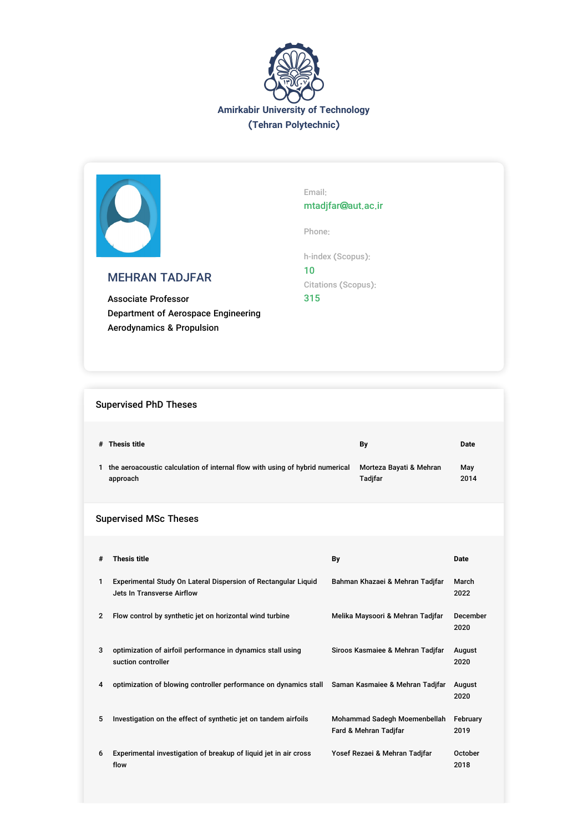



# MEHRAN TADJFAR

Associate Professor Department of Aerospace Engineering Aerodynamics & Propulsion

Email: mtadjfar@aut.ac.ir

Phone:

h-index (Scopus): 10 Citations (Scopus): 315

# Supervised PhD Theses

| # | Thesis title                                                                 | Bv                      | Date |
|---|------------------------------------------------------------------------------|-------------------------|------|
|   | the aeroacoustic calculation of internal flow with using of hybrid numerical | Morteza Bayati & Mehran | Mav  |
|   | approach                                                                     | <b>Tadifar</b>          | 2014 |

# Supervised MSc Theses

| #              | <b>Thesis title</b>                                                                              | By                                                    | <b>Date</b>      |
|----------------|--------------------------------------------------------------------------------------------------|-------------------------------------------------------|------------------|
| 1              | Experimental Study On Lateral Dispersion of Rectangular Liquid<br>Jets In Transverse Airflow     | Bahman Khazaei & Mehran Tadjfar                       | March<br>2022    |
| $\overline{2}$ | Flow control by synthetic jet on horizontal wind turbine                                         | Melika Maysoori & Mehran Tadjfar                      | December<br>2020 |
| 3              | optimization of airfoil performance in dynamics stall using<br>suction controller                | Siroos Kasmaiee & Mehran Tadjfar                      | August<br>2020   |
| 4              | optimization of blowing controller performance on dynamics stall Saman Kasmaiee & Mehran Tadjfar |                                                       | August<br>2020   |
| 5              | Investigation on the effect of synthetic jet on tandem airfoils                                  | Mohammad Sadegh Moemenbellah<br>Fard & Mehran Tadifar | February<br>2019 |
| 6              | Experimental investigation of breakup of liquid jet in air cross<br>flow                         | Yosef Rezaei & Mehran Tadifar                         | October<br>2018  |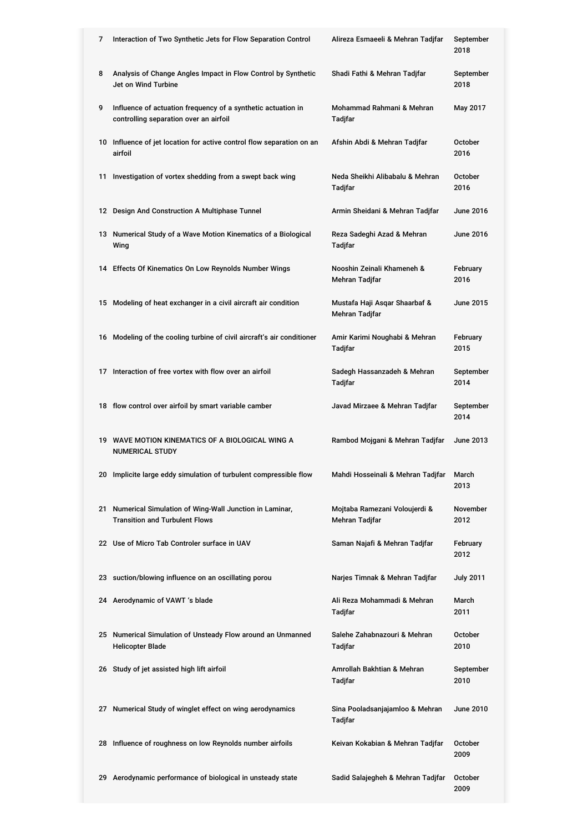| 7 | Interaction of Two Synthetic Jets for Flow Separation Control                                          | Alireza Esmaeeli & Mehran Tadjfar               | September<br>2018       |
|---|--------------------------------------------------------------------------------------------------------|-------------------------------------------------|-------------------------|
| 8 | Analysis of Change Angles Impact in Flow Control by Synthetic<br>Jet on Wind Turbine                   | Shadi Fathi & Mehran Tadjfar                    | September<br>2018       |
| 9 | Influence of actuation frequency of a synthetic actuation in<br>controlling separation over an airfoil | Mohammad Rahmani & Mehran<br>Tadjfar            | May 2017                |
|   | 10 Influence of jet location for active control flow separation on an<br>airfoil                       | Afshin Abdi & Mehran Tadjfar                    | <b>October</b><br>2016  |
|   | 11 Investigation of vortex shedding from a swept back wing                                             | Neda Sheikhi Alibabalu & Mehran<br>Tadjfar      | October<br>2016         |
|   | 12 Design And Construction A Multiphase Tunnel                                                         | Armin Sheidani & Mehran Tadjfar                 | June 2016               |
|   | 13 Numerical Study of a Wave Motion Kinematics of a Biological<br>Wing                                 | Reza Sadeghi Azad & Mehran<br>Tadjfar           | <b>June 2016</b>        |
|   | 14 Effects Of Kinematics On Low Reynolds Number Wings                                                  | Nooshin Zeinali Khameneh &<br>Mehran Tadjfar    | February<br>2016        |
|   | 15 Modeling of heat exchanger in a civil aircraft air condition                                        | Mustafa Haji Asqar Shaarbaf &<br>Mehran Tadjfar | June 2015               |
|   | 16 Modeling of the cooling turbine of civil aircraft's air conditioner                                 | Amir Karimi Noughabi & Mehran<br>Tadjfar        | February<br>2015        |
|   | 17 Interaction of free vortex with flow over an airfoil                                                | Sadegh Hassanzadeh & Mehran<br>Tadjfar          | September<br>2014       |
|   | 18 flow control over airfoil by smart variable camber                                                  | Javad Mirzaee & Mehran Tadjfar                  | September<br>2014       |
|   | 19 WAVE MOTION KINEMATICS OF A BIOLOGICAL WING A<br><b>NUMERICAL STUDY</b>                             | Rambod Mojgani & Mehran Tadjfar                 | June 2013               |
|   | 20 Implicite large eddy simulation of turbulent compressible flow                                      | Mahdi Hosseinali & Mehran Tadjfar               | March<br>2013           |
|   | 21 Numerical Simulation of Wing-Wall Junction in Laminar,<br><b>Transition and Turbulent Flows</b>     | Mojtaba Ramezani Voloujerdi &<br>Mehran Tadjfar | <b>November</b><br>2012 |
|   | 22 Use of Micro Tab Controler surface in UAV                                                           | Saman Najafi & Mehran Tadjfar                   | February<br>2012        |
|   | 23 suction/blowing influence on an oscillating porou                                                   | Narjes Timnak & Mehran Tadjfar                  | <b>July 2011</b>        |
|   | 24 Aerodynamic of VAWT 's blade                                                                        | Ali Reza Mohammadi & Mehran<br>Tadjfar          | March<br>2011           |
|   | 25 Numerical Simulation of Unsteady Flow around an Unmanned<br><b>Helicopter Blade</b>                 | Salehe Zahabnazouri & Mehran<br>Tadjfar         | <b>October</b><br>2010  |
|   | 26 Study of jet assisted high lift airfoil                                                             | Amrollah Bakhtian & Mehran<br>Tadjfar           | September<br>2010       |
|   | 27 Numerical Study of winglet effect on wing aerodynamics                                              | Sina Pooladsanjajamloo & Mehran<br>Tadjfar      | <b>June 2010</b>        |
|   | 28 Influence of roughness on low Reynolds number airfoils                                              | Keivan Kokabian & Mehran Tadjfar                | October<br>2009         |
|   | 29 Aerodynamic performance of biological in unsteady state                                             | Sadid Salajegheh & Mehran Tadjfar               | October<br>2009         |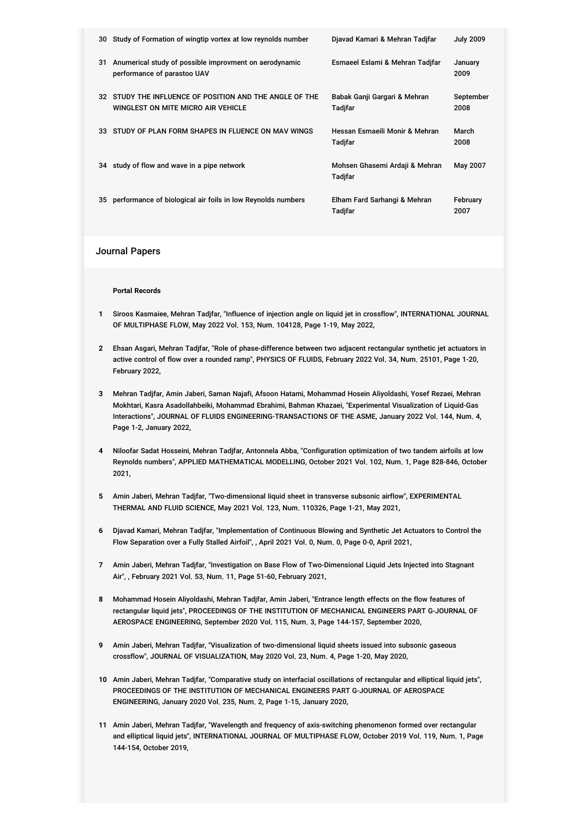|    | 30 Study of Formation of wingtip vortex at low reynolds number                                | Djavad Kamari & Mehran Tadifar            | <b>July 2009</b>  |
|----|-----------------------------------------------------------------------------------------------|-------------------------------------------|-------------------|
| 31 | Anumerical study of possible improvment on aerodynamic<br>performance of parastoo UAV         | Esmaeel Eslami & Mehran Tadifar           | January<br>2009   |
|    | 32 STUDY THE INFLUENCE OF POSITION AND THE ANGLE OF THE<br>WINGLEST ON MITE MICRO AIR VEHICLE | Babak Ganji Gargari & Mehran<br>Tadjfar   | September<br>2008 |
|    | 33 STUDY OF PLAN FORM SHAPES IN FLUENCE ON MAV WINGS                                          | Hessan Esmaeili Monir & Mehran<br>Tadjfar | March<br>2008     |
|    | 34 study of flow and wave in a pipe network                                                   | Mohsen Ghasemi Ardaji & Mehran<br>Tadjfar | May 2007          |
|    | 35 performance of biological air foils in low Reynolds numbers                                | Elham Fard Sarhangi & Mehran<br>Tadjfar   | February<br>2007  |
|    |                                                                                               |                                           |                   |

### Journal Papers

#### **Portal Records**

- **1** Siroos Kasmaiee, Mehran Tadjfar, "Influence of injection angle on liquid jet in crossflow", INTERNATIONAL JOURNAL OF MULTIPHASE FLOW, May 2022 Vol. 153, Num. 104128, Page 1-19, May 2022,
- **2** Ehsan Asgari, Mehran Tadjfar, "Role of phase-difference between two adjacent rectangular synthetic jet actuators in active control of flow over a rounded ramp", PHYSICS OF FLUIDS, February 2022 Vol. 34, Num. 25101, Page 1-20, February 2022,
- **3** Mehran Tadjfar, Amin Jaberi, Saman Najafi, Afsoon Hatami, Mohammad Hosein Aliyoldashi, Yosef Rezaei, Mehran Mokhtari, Kasra Asadollahbeiki, Mohammad Ebrahimi, Bahman Khazaei, "Experimental Visualization of Liquid-Gas Interactions", JOURNAL OF FLUIDS ENGINEERING-TRANSACTIONS OF THE ASME, January 2022 Vol. 144, Num. 4, Page 1-2, January 2022,
- **4** Niloofar Sadat Hosseini, Mehran Tadjfar, Antonnela Abba, "Configuration optimization of two tandem airfoils at low Reynolds numbers", APPLIED MATHEMATICAL MODELLING, October 2021 Vol. 102, Num. 1, Page 828-846, October 2021,
- **5** Amin Jaberi, Mehran Tadjfar, "Two-dimensional liquid sheet in transverse subsonic airflow", EXPERIMENTAL THERMAL AND FLUID SCIENCE, May 2021 Vol. 123, Num. 110326, Page 1-21, May 2021,
- **6** Djavad Kamari, Mehran Tadjfar, "Implementation of Continuous Blowing and Synthetic Jet Actuators to Control the Flow Separation over a Fully Stalled Airfoil", , April 2021 Vol. 0, Num. 0, Page 0-0, April 2021,
- **7** Amin Jaberi, Mehran Tadjfar, "Investigation on Base Flow of Two-Dimensional Liquid Jets Injected into Stagnant Air", , February 2021 Vol. 53, Num. 11, Page 51-60, February 2021,
- **8** Mohammad Hosein Aliyoldashi, Mehran Tadjfar, Amin Jaberi, "Entrance length effects on the flow features of rectangular liquid jets", PROCEEDINGS OF THE INSTITUTION OF MECHANICAL ENGINEERS PART G-JOURNAL OF AEROSPACE ENGINEERING, September 2020 Vol. 115, Num. 3, Page 144-157, September 2020,
- **9** Amin Jaberi, Mehran Tadjfar, "Visualization of two-dimensional liquid sheets issued into subsonic gaseous crossflow", JOURNAL OF VISUALIZATION, May 2020 Vol. 23, Num. 4, Page 1-20, May 2020,
- **10** Amin Jaberi, Mehran Tadjfar, "Comparative study on interfacial oscillations of rectangular and elliptical liquid jets", PROCEEDINGS OF THE INSTITUTION OF MECHANICAL ENGINEERS PART G-JOURNAL OF AEROSPACE ENGINEERING, January 2020 Vol. 235, Num. 2, Page 1-15, January 2020,
- **11** Amin Jaberi, Mehran Tadjfar, "Wavelength and frequency of axis-switching phenomenon formed over rectangular and elliptical liquid jets", INTERNATIONAL JOURNAL OF MULTIPHASE FLOW, October 2019 Vol. 119, Num. 1, Page 144-154, October 2019,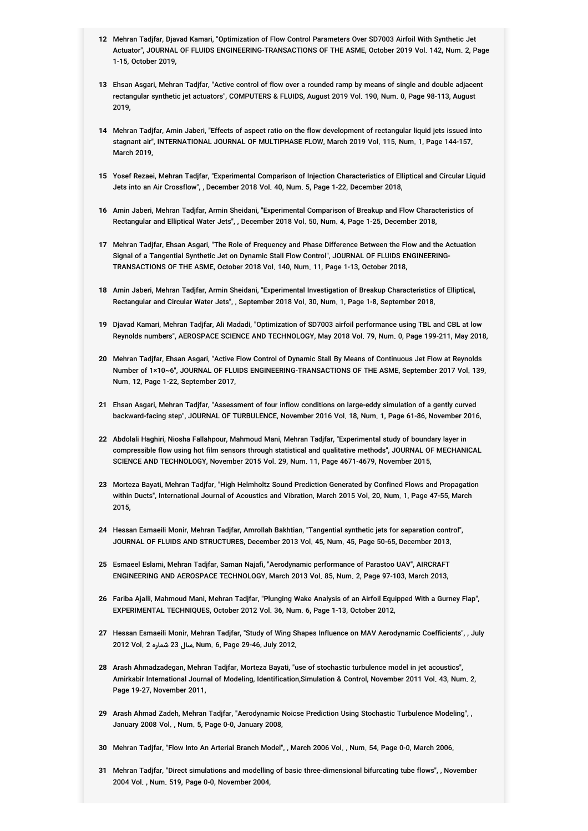- **12** Mehran Tadjfar, Djavad Kamari, "Optimization of Flow Control Parameters Over SD7003 Airfoil With Synthetic Jet Actuator", JOURNAL OF FLUIDS ENGINEERING-TRANSACTIONS OF THE ASME, October 2019 Vol. 142, Num. 2, Page 1-15, October 2019,
- **13** Ehsan Asgari, Mehran Tadjfar, "Active control of flow over a rounded ramp by means of single and double adjacent rectangular synthetic jet actuators", COMPUTERS & FLUIDS, August 2019 Vol. 190, Num. 0, Page 98-113, August 2019,
- **14** Mehran Tadjfar, Amin Jaberi, "Effects of aspect ratio on the flow development of rectangular liquid jets issued into stagnant air", INTERNATIONAL JOURNAL OF MULTIPHASE FLOW, March 2019 Vol. 115, Num. 1, Page 144-157, March 2019,
- **15** Yosef Rezaei, Mehran Tadjfar, "Experimental Comparison of Injection Characteristics of Elliptical and Circular Liquid Jets into an Air Crossflow", , December 2018 Vol. 40, Num. 5, Page 1-22, December 2018,
- **16** Amin Jaberi, Mehran Tadjfar, Armin Sheidani, "Experimental Comparison of Breakup and Flow Characteristics of Rectangular and Elliptical Water Jets", , December 2018 Vol. 50, Num. 4, Page 1-25, December 2018,
- **17** Mehran Tadjfar, Ehsan Asgari, "The Role of Frequency and Phase Difference Between the Flow and the Actuation Signal of a Tangential Synthetic Jet on Dynamic Stall Flow Control", JOURNAL OF FLUIDS ENGINEERING-TRANSACTIONS OF THE ASME, October 2018 Vol. 140, Num. 11, Page 1-13, October 2018,
- **18** Amin Jaberi, Mehran Tadjfar, Armin Sheidani, "Experimental Investigation of Breakup Characteristics of Elliptical, Rectangular and Circular Water Jets", , September 2018 Vol. 30, Num. 1, Page 1-8, September 2018,
- **19** Djavad Kamari, Mehran Tadjfar, Ali Madadi, "Optimization of SD7003 airfoil performance using TBL and CBL at low Reynolds numbers", AEROSPACE SCIENCE AND TECHNOLOGY, May 2018 Vol. 79, Num. 0, Page 199-211, May 2018,
- **20** Mehran Tadjfar, Ehsan Asgari, "Active Flow Control of Dynamic Stall By Means of Continuous Jet Flow at Reynolds Number of 1×10~6", JOURNAL OF FLUIDS ENGINEERING-TRANSACTIONS OF THE ASME, September 2017 Vol. 139, Num. 12, Page 1-22, September 2017,
- **21** Ehsan Asgari, Mehran Tadjfar, "Assessment of four inflow conditions on large-eddy simulation of a gently curved backward-facing step", JOURNAL OF TURBULENCE, November 2016 Vol. 18, Num. 1, Page 61-86, November 2016,
- **22** Abdolali Haghiri, Niosha Fallahpour, Mahmoud Mani, Mehran Tadjfar, "Experimental study of boundary layer in compressible flow using hot film sensors through statistical and qualitative methods", JOURNAL OF MECHANICAL SCIENCE AND TECHNOLOGY, November 2015 Vol. 29, Num. 11, Page 4671-4679, November 2015,
- **23** Morteza Bayati, Mehran Tadjfar, "High Helmholtz Sound Prediction Generated by Confined Flows and Propagation within Ducts", International Journal of Acoustics and Vibration, March 2015 Vol. 20, Num. 1, Page 47-55, March 2015,
- **24** Hessan Esmaeili Monir, Mehran Tadjfar, Amrollah Bakhtian, "Tangential synthetic jets for separation control", JOURNAL OF FLUIDS AND STRUCTURES, December 2013 Vol. 45, Num. 45, Page 50-65, December 2013,
- **25** Esmaeel Eslami, Mehran Tadjfar, Saman Najafi, "Aerodynamic performance of Parastoo UAV", AIRCRAFT ENGINEERING AND AEROSPACE TECHNOLOGY, March 2013 Vol. 85, Num. 2, Page 97-103, March 2013,
- **26** Fariba Ajalli, Mahmoud Mani, Mehran Tadjfar, "Plunging Wake Analysis of an Airfoil Equipped With a Gurney Flap", EXPERIMENTAL TECHNIQUES, October 2012 Vol. 36, Num. 6, Page 1-13, October 2012,
- **27** Hessan Esmaeili Monir, Mehran Tadjfar, "Study of Wing Shapes Influence on MAV Aerodynamic Coefficients", , July 2012 Vol. 2 شماره 23 سال, Num. 6, Page 29-46, July 2012,
- **28** Arash Ahmadzadegan, Mehran Tadjfar, Morteza Bayati, "use of stochastic turbulence model in jet acoustics", Amirkabir International Journal of Modeling, Identification,Simulation & Control, November 2011 Vol. 43, Num. 2, Page 19-27, November 2011,
- **29** Arash Ahmad Zadeh, Mehran Tadjfar, "Aerodynamic Noicse Prediction Using Stochastic Turbulence Modeling", , January 2008 Vol. , Num. 5, Page 0-0, January 2008,
- **30** Mehran Tadjfar, "Flow Into An Arterial Branch Model", , March 2006 Vol. , Num. 54, Page 0-0, March 2006,
- **31** Mehran Tadjfar, "Direct simulations and modelling of basic three-dimensional bifurcating tube flows", , November 2004 Vol. , Num. 519, Page 0-0, November 2004,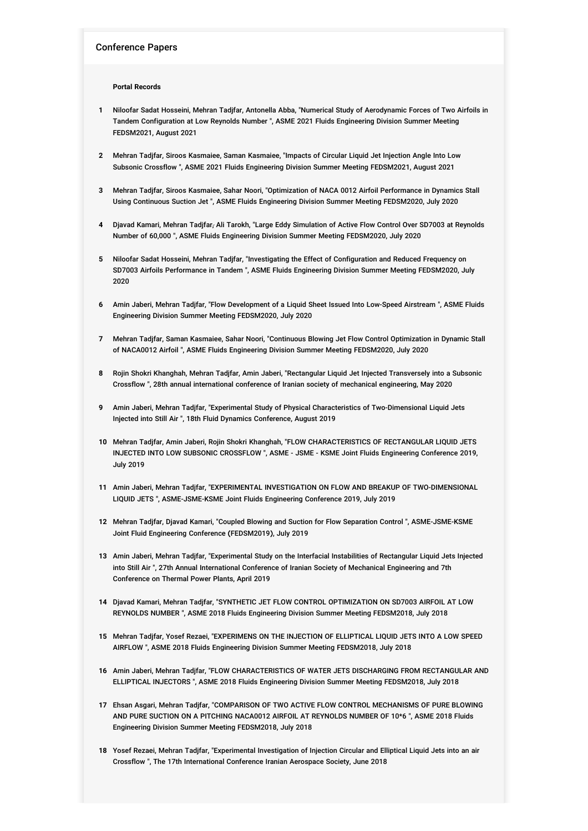### Conference Papers

#### **Portal Records**

- **1** Niloofar Sadat Hosseini, Mehran Tadjfar, Antonella Abba, "Numerical Study of Aerodynamic Forces of Two Airfoils in Tandem Configuration at Low Reynolds Number ", ASME 2021 Fluids Engineering Division Summer Meeting FEDSM2021, August 2021
- **2** Mehran Tadjfar, Siroos Kasmaiee, Saman Kasmaiee, "Impacts of Circular Liquid Jet Injection Angle Into Low Subsonic Crossflow ", ASME 2021 Fluids Engineering Division Summer Meeting FEDSM2021, August 2021
- **3** Mehran Tadjfar, Siroos Kasmaiee, Sahar Noori, "Optimization of NACA 0012 Airfoil Performance in Dynamics Stall Using Continuous Suction Jet ", ASME Fluids Engineering Division Summer Meeting FEDSM2020, July 2020
- **4** Djavad Kamari, Mehran Tadjfar, َAli Tarokh, "Large Eddy Simulation of Active Flow Control Over SD7003 at Reynolds Number of 60,000 ", ASME Fluids Engineering Division Summer Meeting FEDSM2020, July 2020
- **5** Niloofar Sadat Hosseini, Mehran Tadjfar, "Investigating the Effect of Configuration and Reduced Frequency on SD7003 Airfoils Performance in Tandem ", ASME Fluids Engineering Division Summer Meeting FEDSM2020, July 2020
- **6** Amin Jaberi, Mehran Tadjfar, "Flow Development of a Liquid Sheet Issued Into Low-Speed Airstream ", ASME Fluids Engineering Division Summer Meeting FEDSM2020, July 2020
- **7** Mehran Tadjfar, Saman Kasmaiee, Sahar Noori, "Continuous Blowing Jet Flow Control Optimization in Dynamic Stall of NACA0012 Airfoil ", ASME Fluids Engineering Division Summer Meeting FEDSM2020, July 2020
- **8** Rojin Shokri Khanghah, Mehran Tadjfar, Amin Jaberi, "Rectangular Liquid Jet Injected Transversely into a Subsonic Crossflow ", 28th annual international conference of Iranian society of mechanical engineering, May 2020
- **9** Amin Jaberi, Mehran Tadjfar, "Experimental Study of Physical Characteristics of Two-Dimensional Liquid Jets Injected into Still Air ", 18th Fluid Dynamics Conference, August 2019
- **10** Mehran Tadjfar, Amin Jaberi, Rojin Shokri Khanghah, "FLOW CHARACTERISTICS OF RECTANGULAR LIQUID JETS INJECTED INTO LOW SUBSONIC CROSSFLOW ", ASME - JSME - KSME Joint Fluids Engineering Conference 2019, July 2019
- **11** Amin Jaberi, Mehran Tadjfar, "EXPERIMENTAL INVESTIGATION ON FLOW AND BREAKUP OF TWO-DIMENSIONAL LIQUID JETS ", ASME-JSME-KSME Joint Fluids Engineering Conference 2019, July 2019
- **12** Mehran Tadjfar, Djavad Kamari, "Coupled Blowing and Suction for Flow Separation Control ", ASME-JSME-KSME Joint Fluid Engineering Conference (FEDSM2019), July 2019
- **13** Amin Jaberi, Mehran Tadjfar, "Experimental Study on the Interfacial Instabilities of Rectangular Liquid Jets Injected into Still Air ", 27th Annual International Conference of Iranian Society of Mechanical Engineering and 7th Conference on Thermal Power Plants, April 2019
- **14** Djavad Kamari, Mehran Tadjfar, "SYNTHETIC JET FLOW CONTROL OPTIMIZATION ON SD7003 AIRFOIL AT LOW REYNOLDS NUMBER ", ASME 2018 Fluids Engineering Division Summer Meeting FEDSM2018, July 2018
- **15** Mehran Tadjfar, Yosef Rezaei, "EXPERIMENS ON THE INJECTION OF ELLIPTICAL LIQUID JETS INTO A LOW SPEED AIRFLOW ", ASME 2018 Fluids Engineering Division Summer Meeting FEDSM2018, July 2018
- **16** Amin Jaberi, Mehran Tadjfar, "FLOW CHARACTERISTICS OF WATER JETS DISCHARGING FROM RECTANGULAR AND ELLIPTICAL INJECTORS ", ASME 2018 Fluids Engineering Division Summer Meeting FEDSM2018, July 2018
- **17** Ehsan Asgari, Mehran Tadjfar, "COMPARISON OF TWO ACTIVE FLOW CONTROL MECHANISMS OF PURE BLOWING AND PURE SUCTION ON A PITCHING NACA0012 AIRFOIL AT REYNOLDS NUMBER OF 10\*6 ", ASME 2018 Fluids Engineering Division Summer Meeting FEDSM2018, July 2018
- **18** Yosef Rezaei, Mehran Tadjfar, "Experimental Investigation of Injection Circular and Elliptical Liquid Jets into an air Crossflow ", The 17th International Conference Iranian Aerospace Society, June 2018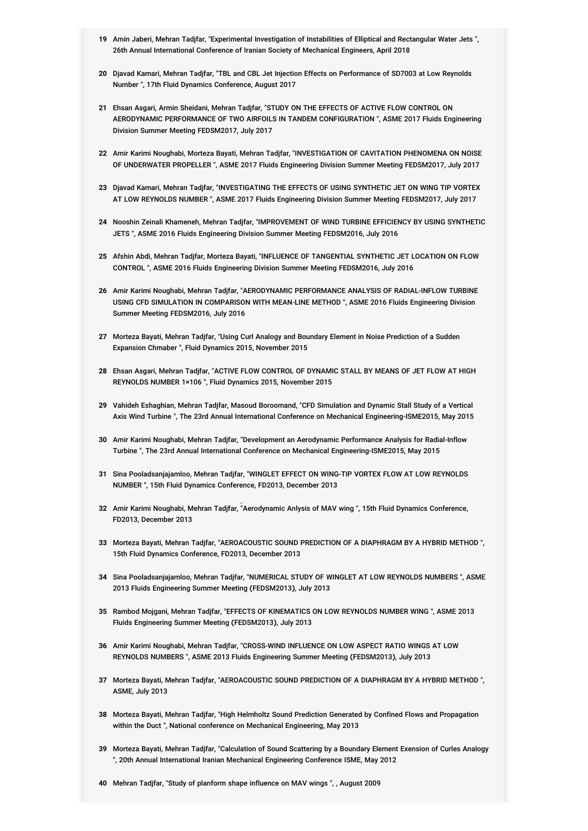- **19** Amin Jaberi, Mehran Tadjfar, "Experimental Investigation of Instabilities of Elliptical and Rectangular Water Jets ", 26th Annual International Conference of Iranian Society of Mechanical Engineers, April 2018
- **20** Djavad Kamari, Mehran Tadjfar, "TBL and CBL Jet Injection Effects on Performance of SD7003 at Low Reynolds Number ", 17th Fluid Dynamics Conference, August 2017
- **21** Ehsan Asgari, Armin Sheidani, Mehran Tadjfar, "STUDY ON THE EFFECTS OF ACTIVE FLOW CONTROL ON AERODYNAMIC PERFORMANCE OF TWO AIRFOILS IN TANDEM CONFIGURATION ", ASME 2017 Fluids Engineering Division Summer Meeting FEDSM2017, July 2017
- **22** Amir Karimi Noughabi, Morteza Bayati, Mehran Tadjfar, "INVESTIGATION OF CAVITATION PHENOMENA ON NOISE OF UNDERWATER PROPELLER ", ASME 2017 Fluids Engineering Division Summer Meeting FEDSM2017, July 2017
- **23** Djavad Kamari, Mehran Tadjfar, "INVESTIGATING THE EFFECTS OF USING SYNTHETIC JET ON WING TIP VORTEX AT LOW REYNOLDS NUMBER ", ASME 2017 Fluids Engineering Division Summer Meeting FEDSM2017, July 2017
- **24** Nooshin Zeinali Khameneh, Mehran Tadjfar, "IMPROVEMENT OF WIND TURBINE EFFICIENCY BY USING SYNTHETIC JETS ", ASME 2016 Fluids Engineering Division Summer Meeting FEDSM2016, July 2016
- **25** Afshin Abdi, Mehran Tadjfar, Morteza Bayati, "INFLUENCE OF TANGENTIAL SYNTHETIC JET LOCATION ON FLOW CONTROL ", ASME 2016 Fluids Engineering Division Summer Meeting FEDSM2016, July 2016
- **26** Amir Karimi Noughabi, Mehran Tadjfar, "AERODYNAMIC PERFORMANCE ANALYSIS OF RADIAL-INFLOW TURBINE USING CFD SIMULATION IN COMPARISON WITH MEAN-LINE METHOD ", ASME 2016 Fluids Engineering Division Summer Meeting FEDSM2016, July 2016
- **27** Morteza Bayati, Mehran Tadjfar, "Using Curl Analogy and Boundary Element in Noise Prediction of a Sudden Expansion Chmaber ", Fluid Dynamics 2015, November 2015
- **28** Ehsan Asgari, Mehran Tadjfar, "ACTIVE FLOW CONTROL OF DYNAMIC STALL BY MEANS OF JET FLOW AT HIGH REYNOLDS NUMBER 1×106 ", Fluid Dynamics 2015, November 2015
- **29** Vahideh Eshaghian, Mehran Tadjfar, Masoud Boroomand, "CFD Simulation and Dynamic Stall Study of a Vertical Axis Wind Turbine ", The 23rd Annual International Conference on Mechanical Engineering-ISME2015, May 2015
- **30** Amir Karimi Noughabi, Mehran Tadjfar, "Development an Aerodynamic Performance Analysis for Radial-Inflow Turbine ", The 23rd Annual International Conference on Mechanical Engineering-ISME2015, May 2015
- **31** Sina Pooladsanjajamloo, Mehran Tadjfar, "WINGLET EFFECT ON WING-TIP VORTEX FLOW AT LOW REYNOLDS NUMBER ", 15th Fluid Dynamics Conference, FD2013, December 2013
- 32 Amir Karimi Noughabi, Mehran Tadjfar, "Aerodynamic Anlysis of MAV wing ", 15th Fluid Dynamics Conference, FD2013, December 2013
- **33** Morteza Bayati, Mehran Tadjfar, "AEROACOUSTIC SOUND PREDICTION OF A DIAPHRAGM BY A HYBRID METHOD ", 15th Fluid Dynamics Conference, FD2013, December 2013
- **34** Sina Pooladsanjajamloo, Mehran Tadjfar, "NUMERICAL STUDY OF WINGLET AT LOW REYNOLDS NUMBERS ", ASME 2013 Fluids Engineering Summer Meeting (FEDSM2013), July 2013
- **35** Rambod Mojgani, Mehran Tadjfar, "EFFECTS OF KINEMATICS ON LOW REYNOLDS NUMBER WING ", ASME 2013 Fluids Engineering Summer Meeting (FEDSM2013), July 2013
- **36** Amir Karimi Noughabi, Mehran Tadjfar, "CROSS-WIND INFLUENCE ON LOW ASPECT RATIO WINGS AT LOW REYNOLDS NUMBERS ", ASME 2013 Fluids Engineering Summer Meeting (FEDSM2013), July 2013
- **37** Morteza Bayati, Mehran Tadjfar, "AEROACOUSTIC SOUND PREDICTION OF A DIAPHRAGM BY A HYBRID METHOD ", ASME, July 2013
- **38** Morteza Bayati, Mehran Tadjfar, "High Helmholtz Sound Prediction Generated by Confined Flows and Propagation within the Duct ", National conference on Mechanical Engineering, May 2013
- **39** Morteza Bayati, Mehran Tadjfar, "Calculation of Sound Scattering by a Boundary Element Exension of Curles Analogy ", 20th Annual International Iranian Mechanical Engineering Conference ISME, May 2012
- **40** Mehran Tadjfar, "Study of planform shape influence on MAV wings ", , August 2009